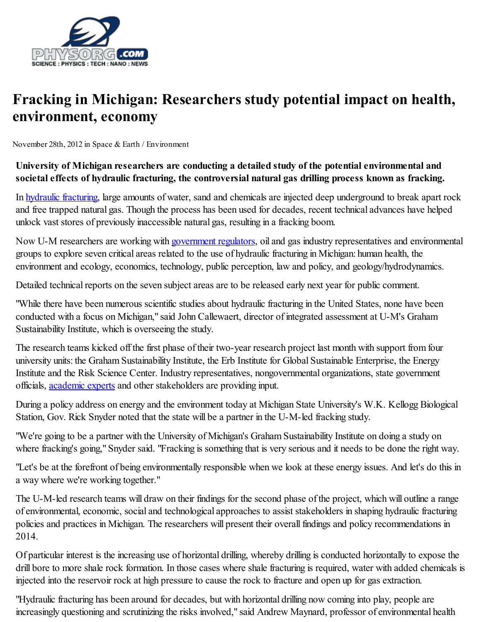

## Fracking in Michigan: Researchers study potential impact on health, environment, economy

November 28th, 2012 in Space & Earth / Environment

## University of Michigan researchers are conducting a detailed study of the potential environmental and societal effects of hydraulic fracturing, the controversial natural gas drilling process known as fracking.

In hydraulic [fracturing](http://phys.org/tags/hydraulic+fracturing/), large amounts of water, sand and chemicals are injected deep underground to break apart rock and free trapped natural gas. Though the process has been used for decades, recent technical advances have helped unlock vast stores of previously inaccessible natural gas, resulting in a fracking boom.

Now U-M researchers are working with **[government](http://phys.org/tags/government+regulators/) regulators**, oil and gas industry representatives and environmental groups to explore seven critical areas related to the use of hydraulic fracturing in Michigan: human health, the environment and ecology, economics, technology, public perception, law and policy, and geology/hydrodynamics.

Detailed technical reports on the seven subject areas are to be released early next year for public comment.

"While there have been numerous scientific studies about hydraulic fracturing in the United States, none have been conducted with a focus on Michigan," said John Callewaert, director of integrated assessment at U-M's Graham Sustainability Institute, which is overseeing the study.

The research teams kicked off the first phase of their two-year research project last month with support from four university units: the Graham Sustainability Institute, the Erb Institute for Global Sustainable Enterprise, the Energy Institute and the Risk Science Center. Industry representatives, nongovernmental organizations, state government officials, [academic](http://phys.org/tags/academic+experts/) experts and other stakeholders are providing input.

During a policy address on energy and the environment today at Michigan State University's W.K. Kellogg Biological Station, Gov. Rick Snyder noted that the state will be a partner in the U-M-led fracking study.

"We're going to be a partner with the University of Michigan's Graham Sustainability Institute on doing a study on where fracking's going," Snyder said. "Fracking is something that is very serious and it needs to be done the right way.

"Let's be at the forefront of being environmentally responsible when we look at these energy issues. And let's do this in a way where we're working together."

The U-M-led research teams will draw on their findings for the second phase of the project, which will outline a range of environmental, economic, social and technological approaches to assist stakeholders in shaping hydraulic fracturing policies and practices in Michigan. The researchers will present their overall findings and policy recommendations in 2014.

Of particular interest is the increasing use of horizontal drilling, whereby drilling is conducted horizontally to expose the drill bore to more shale rock formation. In those cases where shale fracturing is required, water with added chemicals is injected into the reservoir rock at high pressure to cause the rock to fracture and open up for gas extraction.

"Hydraulic fracturing has been around for decades, but with horizontal drilling now coming into play, people are increasingly questioning and scrutinizing the risks involved," said Andrew Maynard, professor of environmental health